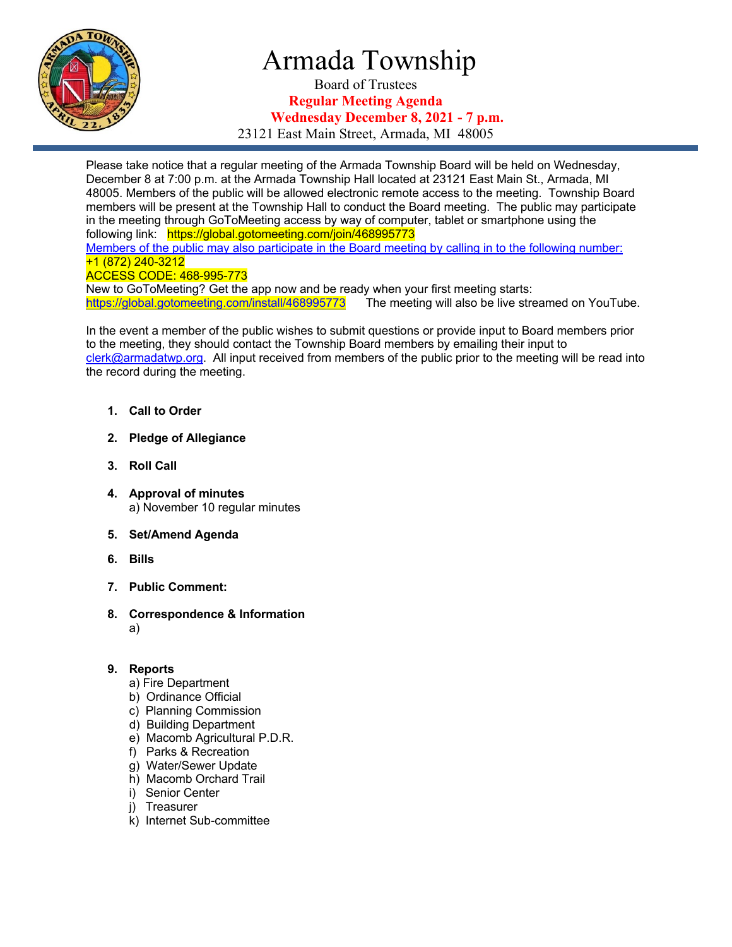

# Armada Township

Board of Trustees **Regular Meeting Agenda Wednesday December 8, 2021 - 7 p.m.**

23121 East Main Street, Armada, MI 48005

Please take notice that a regular meeting of the Armada Township Board will be held on Wednesday, December 8 at 7:00 p.m. at the Armada Township Hall located at 23121 East Main St., Armada, MI 48005. Members of the public will be allowed electronic remote access to the meeting. Township Board members will be present at the Township Hall to conduct the Board meeting. The public may participate in the meeting through GoToMeeting access by way of computer, tablet or smartphone using the following link: https://global.gotomeeting.com/join/468995773 Members of the public may also participate in the Board meeting by calling in to the following number: +1 (872) 240-3212

#### ACCESS CODE: 468-995-773

New to GoToMeeting? Get the app now and be ready when your first meeting starts: https://global.gotomeeting.com/install/468995773 The meeting will also be live streamed on YouTube.

In the event a member of the public wishes to submit questions or provide input to Board members prior to the meeting, they should contact the Township Board members by emailing their input to clerk@armadatwp.org. All input received from members of the public prior to the meeting will be read into the record during the meeting.

- **1. Call to Order**
- **2. Pledge of Allegiance**
- **3. Roll Call**
- **4. Approval of minutes**  a) November 10 regular minutes
- **5. Set/Amend Agenda**
- **6. Bills**
- **7. Public Comment:**
- **8. Correspondence & Information** a)

#### **9. Reports**

- a) Fire Department
- b) Ordinance Official
- c) Planning Commission
- d) Building Department
- e) Macomb Agricultural P.D.R.
- f) Parks & Recreation
- g) Water/Sewer Update
- h) Macomb Orchard Trail
- i) Senior Center
- j) Treasurer
- k) Internet Sub-committee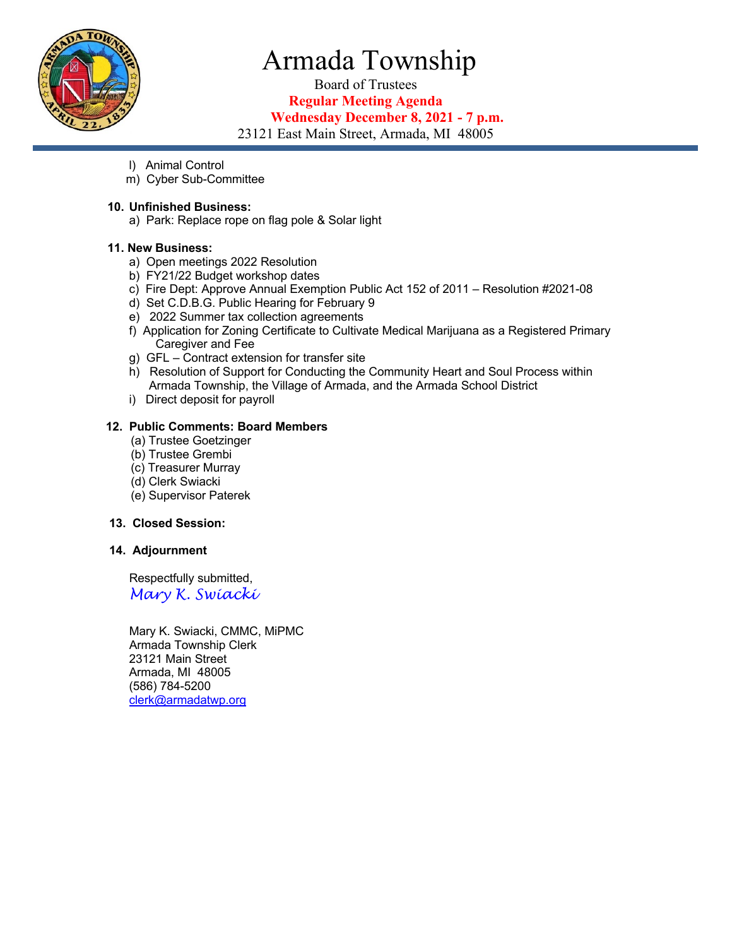

# Armada Township

Board of Trustees **Regular Meeting Agenda**

### **Wednesday December 8, 2021 - 7 p.m.**

23121 East Main Street, Armada, MI 48005

- l) Animal Control
- m) Cyber Sub-Committee

#### **10. Unfinished Business:**

a) Park: Replace rope on flag pole & Solar light

#### **11. New Business:**

- a) Open meetings 2022 Resolution
- b) FY21/22 Budget workshop dates
- c) Fire Dept: Approve Annual Exemption Public Act 152 of 2011 Resolution #2021-08
- d) Set C.D.B.G. Public Hearing for February 9
- e) 2022 Summer tax collection agreements
- f) Application for Zoning Certificate to Cultivate Medical Marijuana as a Registered Primary Caregiver and Fee
- g) GFL Contract extension for transfer site
- h) Resolution of Support for Conducting the Community Heart and Soul Process within Armada Township, the Village of Armada, and the Armada School District
- i) Direct deposit for payroll

#### **12. Public Comments: Board Members**

- (a) Trustee Goetzinger
- (b) Trustee Grembi
- (c) Treasurer Murray
- (d) Clerk Swiacki
- (e) Supervisor Paterek

#### **13. Closed Session:**

#### **14. Adjournment**

 Respectfully submitted, *Mary K. Swiacki*

 Mary K. Swiacki, CMMC, MiPMC Armada Township Clerk 23121 Main Street Armada, MI 48005 (586) 784-5200 clerk@armadatwp.org